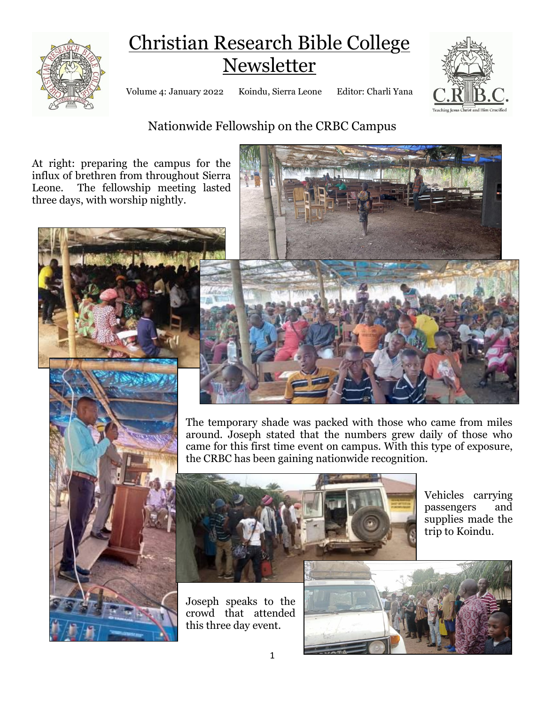

# Christian Research Bible College Newsletter

Volume 4: January 2022 Koindu, Sierra Leone Editor: Charli Yana



## Nationwide Fellowship on the CRBC Campus

At right: preparing the campus for the influx of brethren from throughout Sierra Leone. The fellowship meeting lasted three days, with worship nightly.





The temporary shade was packed with those who came from miles around. Joseph stated that the numbers grew daily of those who came for this first time event on campus. With this type of exposure, the CRBC has been gaining nationwide recognition.



Joseph speaks to the crowd that attended this three day event.



Vehicles carrying passengers and supplies made the trip to Koindu.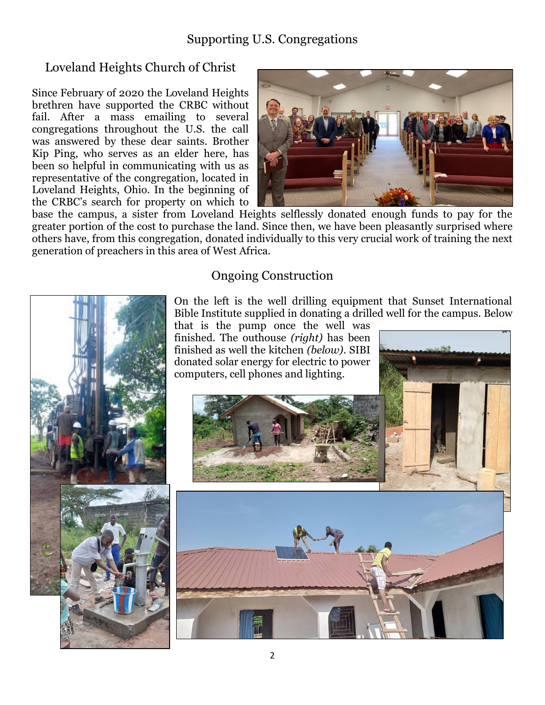#### Supporting U.S. Congregations

## Loveland Heights Church of Christ

Since February of 2020 the Loveland Heights brethren have supported the CRBC without fail. After a mass emailing to several congregations throughout the U.S. the call was answered by these dear saints. Brother Kip Ping, who serves as an elder here, has been so helpful in communicating with us as representative of the congregation, located in Loveland Heights, Ohio. In the beginning of the CRBC's search for property on which to



base the campus, a sister from Loveland Heights selflessly donated enough funds to pay for the greater portion of the cost to purchase the land. Since then, we have been pleasantly surprised where others have, from this congregation, donated individually to this very crucial work of training the next generation of preachers in this area of West Africa.



### Ongoing Construction

On the left is the well drilling equipment that Sunset International Bible Institute supplied in donating a drilled well for the campus. Below

that is the pump once the well was finished. The outhouse *(right)* has been finished as well the kitchen *(below)*. SIBI donated solar energy for electric to power computers, cell phones and lighting.

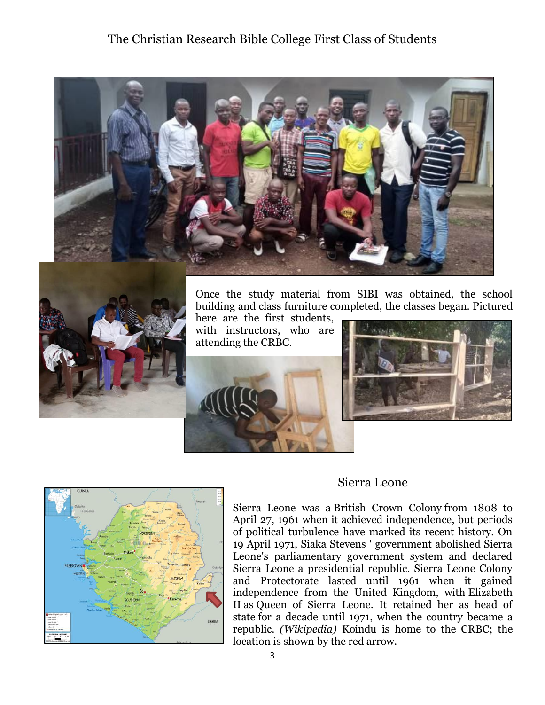## The Christian Research Bible College First Class of Students



Once the study material from SIBI was obtained, the school building and class furniture completed, the classes began. Pictured here are the first students,

with instructors, who are attending the CRBC.







#### Sierra Leone

Sierra Leone was a British Crown Colony from 1808 to April 27, 1961 when it achieved independence, but periods of political turbulence have marked its recent history. On 19 April 1971, Siaka Stevens ' government abolished Sierra Leone's parliamentary government system and declared Sierra Leone a presidential republic. Sierra Leone Colony and Protectorate lasted until 1961 when it gained independence from the United Kingdom, with [Elizabeth](https://en.wikipedia.org/wiki/Elizabeth_II)  [II](https://en.wikipedia.org/wiki/Elizabeth_II) as [Queen of Sierra Leone.](https://en.wikipedia.org/wiki/Queen_of_Sierra_Leone) It retained her as head of state [for a decade until 1971,](https://en.wikipedia.org/wiki/Sierra_Leone_(1961%E2%80%931971)) when the country became a republic. *(Wikipedia)* Koindu is home to the CRBC; the location is shown by the red arrow.